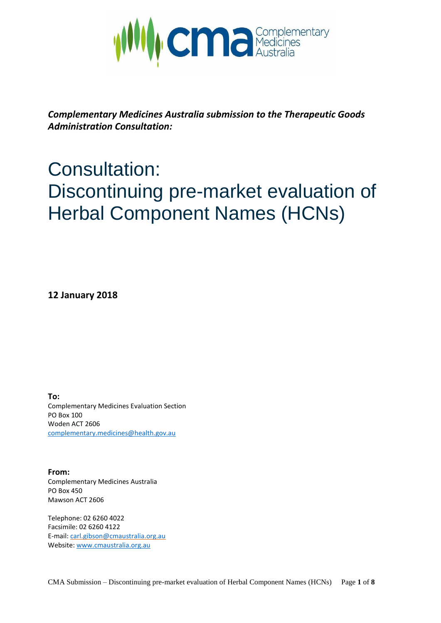

*Complementary Medicines Australia submission to the Therapeutic Goods Administration Consultation:*

# Consultation: Discontinuing pre-market evaluation of Herbal Component Names (HCNs)

**12 January 2018**

**To:** Complementary Medicines Evaluation Section PO Box 100 Woden ACT 2606 [complementary.medicines@health.gov.au](mailto:complementary.medicines@health.gov.au)

**From:** Complementary Medicines Australia PO Box 450 Mawson ACT 2606

Telephone: 02 6260 4022 Facsimile: 02 6260 4122 E-mail: [carl.gibson@cmaustralia.org.au](mailto:carl.gibson@cmaustralia.org.au) Website[: www.cmaustralia.org.au](http://www.cmaustralia.org.au/)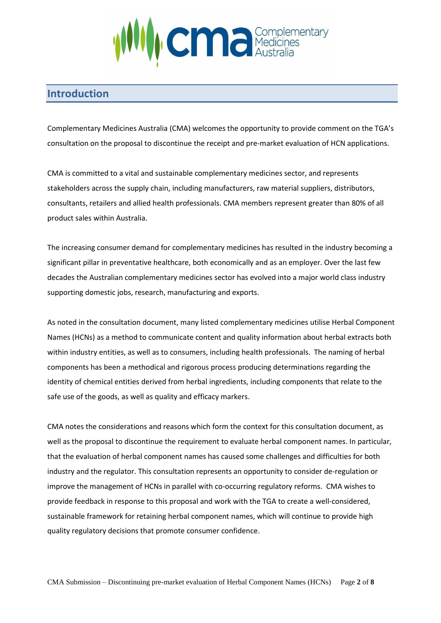

## **Introduction**

Complementary Medicines Australia (CMA) welcomes the opportunity to provide comment on the TGA's consultation on the proposal to discontinue the receipt and pre-market evaluation of HCN applications.

CMA is committed to a vital and sustainable complementary medicines sector, and represents stakeholders across the supply chain, including manufacturers, raw material suppliers, distributors, consultants, retailers and allied health professionals. CMA members represent greater than 80% of all product sales within Australia.

The increasing consumer demand for complementary medicines has resulted in the industry becoming a significant pillar in preventative healthcare, both economically and as an employer. Over the last few decades the Australian complementary medicines sector has evolved into a major world class industry supporting domestic jobs, research, manufacturing and exports.

As noted in the consultation document, many listed complementary medicines utilise Herbal Component Names (HCNs) as a method to communicate content and quality information about herbal extracts both within industry entities, as well as to consumers, including health professionals. The naming of herbal components has been a methodical and rigorous process producing determinations regarding the identity of chemical entities derived from herbal ingredients, including components that relate to the safe use of the goods, as well as quality and efficacy markers.

CMA notes the considerations and reasons which form the context for this consultation document, as well as the proposal to discontinue the requirement to evaluate herbal component names. In particular, that the evaluation of herbal component names has caused some challenges and difficulties for both industry and the regulator. This consultation represents an opportunity to consider de-regulation or improve the management of HCNs in parallel with co-occurring regulatory reforms. CMA wishes to provide feedback in response to this proposal and work with the TGA to create a well-considered, sustainable framework for retaining herbal component names, which will continue to provide high quality regulatory decisions that promote consumer confidence.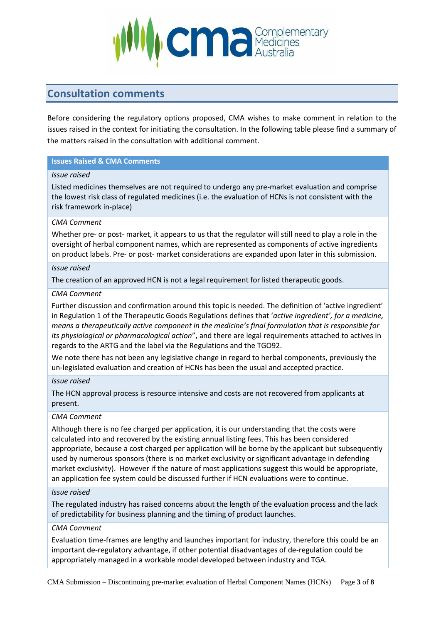

## **Consultation comments**

Before considering the regulatory options proposed, CMA wishes to make comment in relation to the issues raised in the context for initiating the consultation. In the following table please find a summary of the matters raised in the consultation with additional comment.

#### **Issues Raised & CMA Comments**

#### *Issue raised*

Listed medicines themselves are not required to undergo any pre-market evaluation and comprise the lowest risk class of regulated medicines (i.e. the evaluation of HCNs is not consistent with the risk framework in-place)

#### *CMA Comment*

Whether pre- or post- market, it appears to us that the regulator will still need to play a role in the oversight of herbal component names, which are represented as components of active ingredients on product labels. Pre- or post- market considerations are expanded upon later in this submission.

#### *Issue raised*

The creation of an approved HCN is not a legal requirement for listed therapeutic goods.

#### *CMA Comment*

Further discussion and confirmation around this topic is needed. The definition of 'active ingredient' in Regulation 1 of the Therapeutic Goods Regulations defines that '*active ingredient', for a medicine, means a therapeutically active component in the medicine's final formulation that is responsible for its physiological or pharmacological action*", and there are legal requirements attached to actives in regards to the ARTG and the label via the Regulations and the TGO92.

We note there has not been any legislative change in regard to herbal components, previously the un-legislated evaluation and creation of HCNs has been the usual and accepted practice.

#### *Issue raised*

The HCN approval process is resource intensive and costs are not recovered from applicants at present.

#### *CMA Comment*

Although there is no fee charged per application, it is our understanding that the costs were calculated into and recovered by the existing annual listing fees. This has been considered appropriate, because a cost charged per application will be borne by the applicant but subsequently used by numerous sponsors (there is no market exclusivity or significant advantage in defending market exclusivity). However if the nature of most applications suggest this would be appropriate, an application fee system could be discussed further if HCN evaluations were to continue.

#### *Issue raised*

The regulated industry has raised concerns about the length of the evaluation process and the lack of predictability for business planning and the timing of product launches.

#### *CMA Comment*

Evaluation time-frames are lengthy and launches important for industry, therefore this could be an important de-regulatory advantage, if other potential disadvantages of de-regulation could be appropriately managed in a workable model developed between industry and TGA.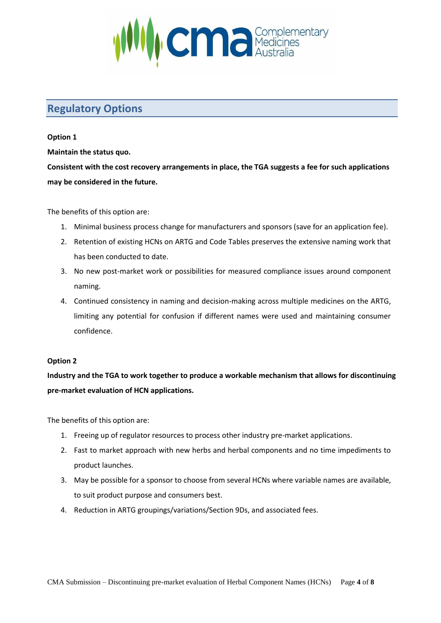

## **Regulatory Options**

#### **Option 1**

**Maintain the status quo.**

**Consistent with the cost recovery arrangements in place, the TGA suggests a fee for such applications may be considered in the future.**

The benefits of this option are:

- 1. Minimal business process change for manufacturers and sponsors (save for an application fee).
- 2. Retention of existing HCNs on ARTG and Code Tables preserves the extensive naming work that has been conducted to date.
- 3. No new post-market work or possibilities for measured compliance issues around component naming.
- 4. Continued consistency in naming and decision-making across multiple medicines on the ARTG, limiting any potential for confusion if different names were used and maintaining consumer confidence.

#### **Option 2**

**Industry and the TGA to work together to produce a workable mechanism that allows for discontinuing pre-market evaluation of HCN applications.**

The benefits of this option are:

- 1. Freeing up of regulator resources to process other industry pre-market applications.
- 2. Fast to market approach with new herbs and herbal components and no time impediments to product launches.
- 3. May be possible for a sponsor to choose from several HCNs where variable names are available, to suit product purpose and consumers best.
- 4. Reduction in ARTG groupings/variations/Section 9Ds, and associated fees.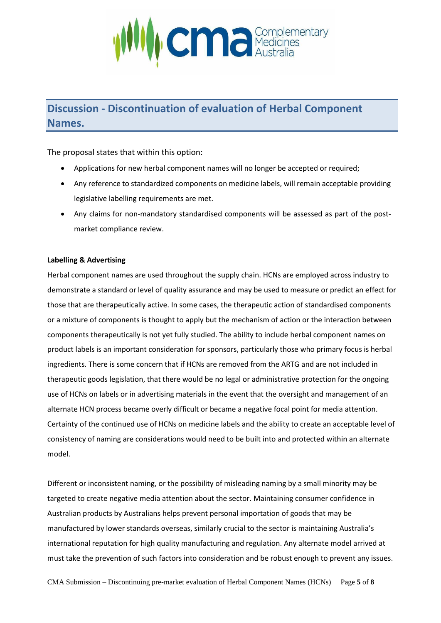

## **Discussion - Discontinuation of evaluation of Herbal Component Names.**

The proposal states that within this option:

- Applications for new herbal component names will no longer be accepted or required;
- Any reference to standardized components on medicine labels, will remain acceptable providing legislative labelling requirements are met.
- Any claims for non-mandatory standardised components will be assessed as part of the postmarket compliance review.

#### **Labelling & Advertising**

Herbal component names are used throughout the supply chain. HCNs are employed across industry to demonstrate a standard or level of quality assurance and may be used to measure or predict an effect for those that are therapeutically active. In some cases, the therapeutic action of standardised components or a mixture of components is thought to apply but the mechanism of action or the interaction between components therapeutically is not yet fully studied. The ability to include herbal component names on product labels is an important consideration for sponsors, particularly those who primary focus is herbal ingredients. There is some concern that if HCNs are removed from the ARTG and are not included in therapeutic goods legislation, that there would be no legal or administrative protection for the ongoing use of HCNs on labels or in advertising materials in the event that the oversight and management of an alternate HCN process became overly difficult or became a negative focal point for media attention. Certainty of the continued use of HCNs on medicine labels and the ability to create an acceptable level of consistency of naming are considerations would need to be built into and protected within an alternate model.

Different or inconsistent naming, or the possibility of misleading naming by a small minority may be targeted to create negative media attention about the sector. Maintaining consumer confidence in Australian products by Australians helps prevent personal importation of goods that may be manufactured by lower standards overseas, similarly crucial to the sector is maintaining Australia's international reputation for high quality manufacturing and regulation. Any alternate model arrived at must take the prevention of such factors into consideration and be robust enough to prevent any issues.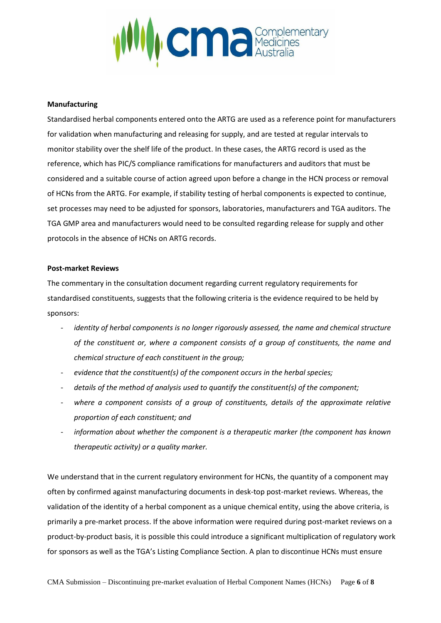

#### **Manufacturing**

Standardised herbal components entered onto the ARTG are used as a reference point for manufacturers for validation when manufacturing and releasing for supply, and are tested at regular intervals to monitor stability over the shelf life of the product. In these cases, the ARTG record is used as the reference, which has PIC/S compliance ramifications for manufacturers and auditors that must be considered and a suitable course of action agreed upon before a change in the HCN process or removal of HCNs from the ARTG. For example, if stability testing of herbal components is expected to continue, set processes may need to be adjusted for sponsors, laboratories, manufacturers and TGA auditors. The TGA GMP area and manufacturers would need to be consulted regarding release for supply and other protocols in the absence of HCNs on ARTG records.

#### **Post-market Reviews**

The commentary in the consultation document regarding current regulatory requirements for standardised constituents, suggests that the following criteria is the evidence required to be held by sponsors:

- identity of herbal components is no longer rigorously assessed, the name and chemical structure *of the constituent or, where a component consists of a group of constituents, the name and chemical structure of each constituent in the group;*
- evidence that the constituent(s) of the component occurs in the herbal species;
- *details of the method of analysis used to quantify the constituent(s) of the component;*
- where a component consists of a group of constituents, details of the approximate relative *proportion of each constituent; and*
- *information about whether the component is a therapeutic marker (the component has known therapeutic activity) or a quality marker.*

We understand that in the current regulatory environment for HCNs, the quantity of a component may often by confirmed against manufacturing documents in desk-top post-market reviews. Whereas, the validation of the identity of a herbal component as a unique chemical entity, using the above criteria, is primarily a pre-market process. If the above information were required during post-market reviews on a product-by-product basis, it is possible this could introduce a significant multiplication of regulatory work for sponsors as well as the TGA's Listing Compliance Section. A plan to discontinue HCNs must ensure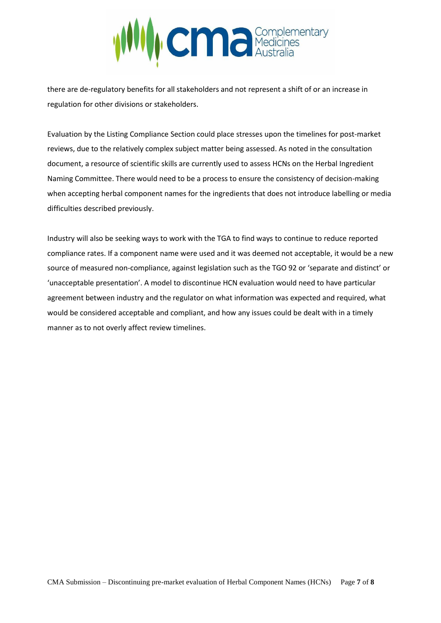

there are de-regulatory benefits for all stakeholders and not represent a shift of or an increase in regulation for other divisions or stakeholders.

Evaluation by the Listing Compliance Section could place stresses upon the timelines for post-market reviews, due to the relatively complex subject matter being assessed. As noted in the consultation document, a resource of scientific skills are currently used to assess HCNs on the Herbal Ingredient Naming Committee. There would need to be a process to ensure the consistency of decision-making when accepting herbal component names for the ingredients that does not introduce labelling or media difficulties described previously.

Industry will also be seeking ways to work with the TGA to find ways to continue to reduce reported compliance rates. If a component name were used and it was deemed not acceptable, it would be a new source of measured non-compliance, against legislation such as the TGO 92 or 'separate and distinct' or 'unacceptable presentation'. A model to discontinue HCN evaluation would need to have particular agreement between industry and the regulator on what information was expected and required, what would be considered acceptable and compliant, and how any issues could be dealt with in a timely manner as to not overly affect review timelines.